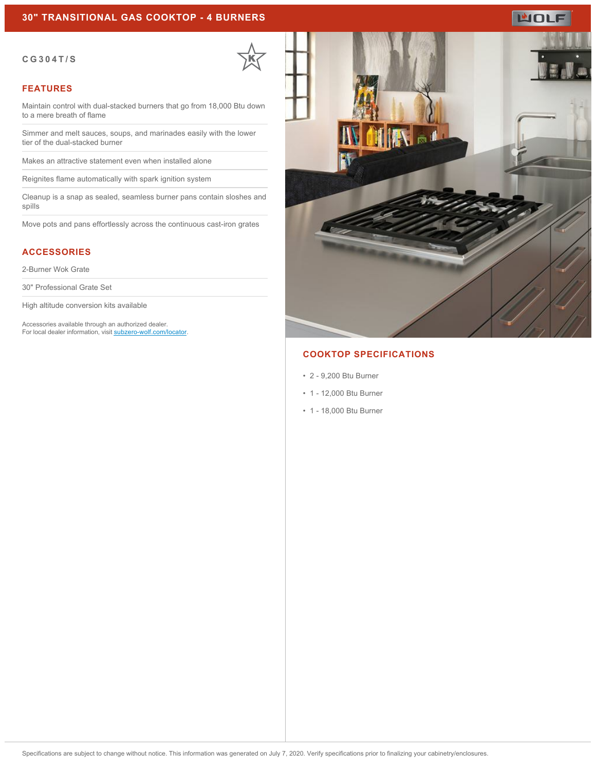### **30" TRANSITIONAL GAS COOKTOP - 4 BURNERS**

#### **CG304T/S**

#### **FEATURES**

Maintain control with dual-stacked burners that go from 18,000 Btu down to a mere breath of flame

Simmer and melt sauces, soups, and marinades easily with the lower tier of the dual-stacked burner

Makes an attractive statement even when installed alone

Reignites flame automatically with spark ignition system

Cleanup is a snap as sealed, seamless burner pans contain sloshes and spills

Move pots and pans effortlessly across the continuous cast-iron grates

## **ACCESSORIES**

2-Burner Wok Grate

30" Professional Grate Set

High altitude conversion kits available

Accessories available through an authorized dealer. For local dealer information, visit [subzero-wolf.com/locator.](http://www.subzero-wolf.com/locator)



# **COOKTOP SPECIFICATIONS**

- 2 9,200 Btu Burner
- 1 12,000 Btu Burner
- 1 18,000 Btu Burner